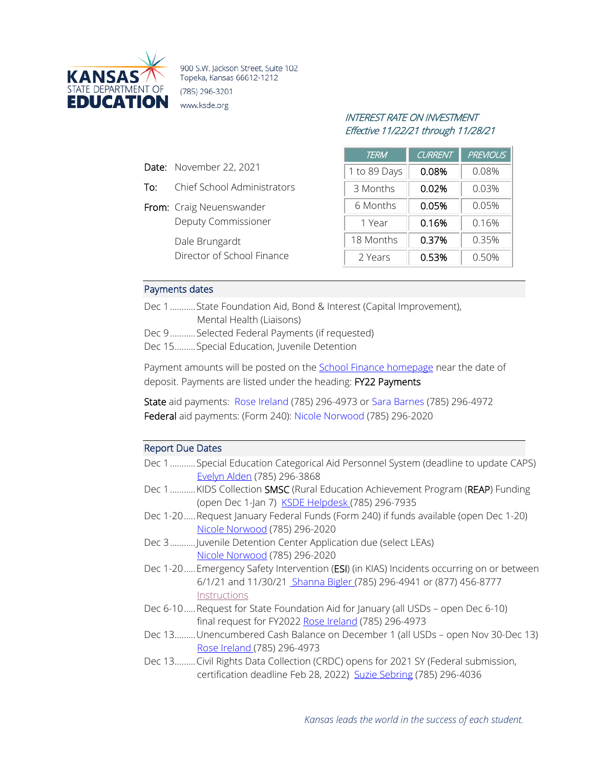

900 S.W. Jackson Street, Suite 102 Topeka, Kansas 66612-1212 (785) 296-3201 www.ksde.org

# INTEREST RATE ON INVESTMENT Effective 11/22/21 through 11/28/21

| <b>TERM</b>  | <b>CURRENT</b> | <b>PREVIOUS</b> |  |
|--------------|----------------|-----------------|--|
| 1 to 89 Days | 0.08%          | 0.08%           |  |
| 3 Months     | 0.02%          | 0.03%           |  |
| 6 Months     | 0.05%          | 0.05%           |  |
| 1 Year       | 0.16%          | 0.16%           |  |
| 18 Months    | 0.37%          | 0.35%           |  |
| 2 Years      | 0.53%          | 0.50%           |  |

#### Payments dates

**Date:** November 22, 2021

From: Craig Neuenswander

Dale Brungardt

To: Chief School Administrators

Deputy Commissioner

Director of School Finance

| Dec 1State Foundation Aid, Bond & Interest (Capital Improvement), |
|-------------------------------------------------------------------|
| Mental Health (Liaisons)                                          |

Dec 9...........Selected Federal Payments (if requested)

Dec 15.........Special Education, Juvenile Detention

Payment amounts will be posted on the **School Finance homepage** near the date of deposit. Payments are listed under the heading: FY22 Payments

State aid payments: [Rose Ireland](mailto:rireland@ksde.org) (785) 296-4973 or [Sara Barnes](mailto:sbarnes@ksde.org) (785) 296-4972 Federal aid payments: (Form 240): [Nicole Norwood](mailto:nnorwood@ksde.org) (785) 296-2020

#### Report Due Dates

| Dec 1 Special Education Categorical Aid Personnel System (deadline to update CAPS) |  |  |
|------------------------------------------------------------------------------------|--|--|
| <u>Evelyn Alden</u> (785) 296-3868                                                 |  |  |

- Dec 1...........KIDS Collection **SMSC** (Rural Education Achievement Program (REAP) Funding (open Dec 1-Jan 7) [KSDE Helpdesk \(](mailto:kids@ksde.org)785) 296-7935
- Dec 1-20.....Request January Federal Funds (Form 240) if funds available (open Dec 1-20) [Nicole Norwood](mailto:nnorwood@ksde.org) (785) 296-2020
- Dec 3...........Juvenile Detention Center Application due (select LEAs) [Nicole Norwood](mailto:nnorwood@ksde.org) (785) 296-2020
- Dec 1-20.....Emergency Safety Intervention (ESI) (in KIAS) Incidents occurring on or between 6/1/21 and 11/30/2[1 Shanna Bigler \(](mailto:SBigler@ksde.org)785) 296-4941 or (877) 456-8777 [Instructions](https://www.ksde.org/Agency/Division-of-Learning-Services/Special-Education-and-Title-Services/KIAS-Kansas-Integrated-Accountability-System/Emergency-Safety-Interventions-ESI)
- Dec 6-10.....Request for State Foundation Aid for January (all USDs open Dec 6-10) final request for FY2022 [Rose Ireland](mailto:rireland@ksde.org) (785) 296-4973
- Dec 13......... Unencumbered Cash Balance on December 1 (all USDs open Nov 30-Dec 13) [Rose Ireland \(](mailto:rireland@ksde.org)785) 296-4973
- Dec 13......... Civil Rights Data Collection (CRDC) opens for 2021 SY (Federal submission, certification deadline Feb 28, 2022) [Suzie Sebring](mailto:ssebring@ksde.org) (785) 296-4036